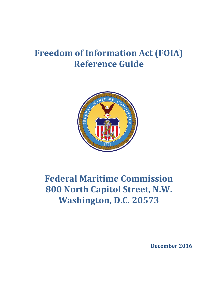# **Freedom of Information Act (FOIA) Reference Guide**



# **Federal Maritime Commission 800 North Capitol Street, N.W. Washington, D.C. 20573**

 **December 2016**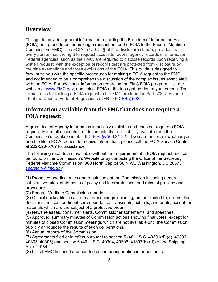# **Overview**

This guide provides general information regarding the Freedom of Information Act (FOIA) and procedures for making a request under the FOIA to the Federal Maritime Commission (FMC). The FOIA, 5 U.S.C. § 552, a disclosure statute, provides that every person has the right to request access to federal agency records or information. Federal agencies, such as the FMC, are required to disclose records upon receiving a written request, with the exception of records that are protected from disclosure by the nine exemptions and three exclusions of the FOIA. This guide is designed to familiarize you with the specific procedures for making a FOIA request to the FMC and not intended to be a comprehensive discussion of the complex issues associated with the FOIA. For additional information regarding the FMC FOIA program, visit our website at www.FMC.gov, and select FOIA at the top right portion of your screen. The formal rules for making a FOIA request to the FMC are found in Part 503 of Volume 46 of the Code of Federal Regulations (CFR), 46 CFR § 503.

# **Information available from the FMC that does not require a FOIA request:**

A great deal of Agency information is publicly available and does not require a FOIA request. For a full description of documents that are publicly available see the Commission's regulations at: 46 C.F.R. §§503.21-22. If you are uncertain whether you need to file a FOIA request to receive information, please call the FOIA Service Center at 202-523-5707 for assistance.

The following records are available without the requirement of a FOIA request and can be found on the Commission's Website or by contacting the Office of the Secretary, Federal Maritime Commission, 800 North Capitol St. N.W., Washington, DC 20573, *secretary@fmc.gov*.

(1) Proposed and final rules and regulations of the Commission including general substantive rules, statements of policy and interpretations, and rules of practice and procedure.

(2) Federal Maritime Commission reports.

(3) Official docket files in all formal proceedings including, but not limited to, orders, final decisions, notices, pertinent correspondence, transcripts, exhibits, and briefs, except for materials which are the subject of a protective order.

(4) News releases, consumer alerts, Commissioner statements, and speeches.

(5) Approved summary minutes of Commission actions showing final votes, except for minutes of closed Commission meetings which are not available until the Commission publicly announces the results of such deliberations.

(6) Annual reports of the Commission.

(7) Agreements filed or in effect pursuant to section 5 (46 U.S.C. 40301(d)-(e), 40302- 40303, 40305) and section 6 (46 U.S.C. 40304, 40306, 41307(b)-(d)) of the Shipping Act of 1984.

(8) List of FMC-licensed and bonded ocean transportation intermediaries.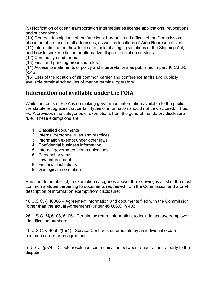(9) Notification of ocean transportation intermediaries license applications, revocations, and suspensions.

(10) General descriptions of the functions, bureaus, and offices of the Commission, phone numbers and email addresses, as well as locations of Area Representatives. (11) Information about how to file a complaint alleging violations of the Shipping Act,

and how to seek mediation or alternative dispute resolution services.

(12) Commonly used forms.

(13) Final and pending proposed rules.

(14) Access to statements of policy and interpretations as published in part 46 C.F.R. §545.

(15) Lists of the location of all common carrier and conference tariffs and publicly available terminal schedules of marine terminal operators.

# **Information not available under the FOIA**

While the focus of FOIA is on making government information available to the public, the statute recognizes that certain types of information should not be disclosed. Thus, FOIA provides nine categories of exemptions from the general mandatory disclosure rule. These exemptions are:

- 1. Classified documents
- 2. Internal personnel rules and practices
- 3. Information exempt under other laws
- 4. Confidential business information
- 5. Internal government communications
- 6. Personal privacy
- 7. Law enforcement
- 8. Financial institutions
- 9. Geological information

Pursuant to number (3) in exemption categories above, the following is a list of the most common statutes pertaining to documents requested from the Commission and a brief description of information exempt from disclosure:

(other than the actual Agreements) under 46 U.S.C. § 403 46 U.S.C. § 40306 – Agreement information and documents filed with the Commission

26 U.S.C. §§ 6103, 6105 - Certain tax return information, to include taxpayer/employer identification numbers

46 U.S.C. § 40502(b)(1) - Service Contracts entered into by an individual ocean common carrier or an agreement

5 U.S.C. §574 - Dispute resolution communication between a neutral and a party to the dispute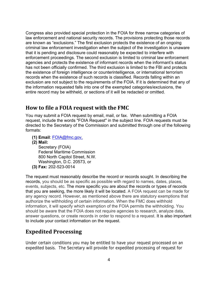Congress also provided special protection in the FOIA for three narrow categories of law enforcement and national security records. The provisions protecting those records are known as "exclusions." The first exclusion protects the existence of an ongoing criminal law enforcement investigation when the subject of the investigation is unaware that it is pending and disclosure could reasonably be expected to interfere with enforcement proceedings. The second exclusion is limited to criminal law enforcement agencies and protects the existence of informant records when the informant's status has not been officially confirmed. The third exclusion is limited to the FBI and protects the existence of foreign intelligence or counterintelligence, or international terrorism records when the existence of such records is classified. Records falling within an exclusion are not subject to the requirements of the FOIA. If it is determined that any of the information requested falls into one of the exempted categories/exclusions, the entire record may be withheld, or sections of it will be redacted or omitted.

#### **How to file a FOIA request with the FMC**

You may submit a FOIA request by email, mail, or fax. When submitting a FOIA request, include the words "FOIA Request" in the subject line. FOIA requests must be directed to the Secretary of the Commission and submitted through one of the following formats:

- **(1) Email**: FOIA@fmc.gov,
- **(2) Mail:**

Secretary (FOIA) Federal Maritime Commission 800 North Capitol Street, N.W. Washington, D.C. 20573, or **(3) Fax:** 202-523-0014

The request must reasonably describe the record or records sought. In describing the records, you should be as specific as possible with regard to names, dates, places, events, subjects, etc. The more specific you are about the records or types of records that you are seeking, the more likely it will be located. A FOIA request can be made for any agency record. However, as mentioned above there are statutory exemptions that authorize the withholding of certain information. When the FMC does withhold information, it will specify which exemption of the FOIA permits the withholding. You should be aware that the FOIA does not require agencies to research, analyze data, answer questions, or create records in order to respond to a request. It is also important to include your contact information on the request.

## **Expedited Processing**

Under certain conditions you may be entitled to have your request processed on an expedited basis. The Secretary will provide for expedited processing of request for